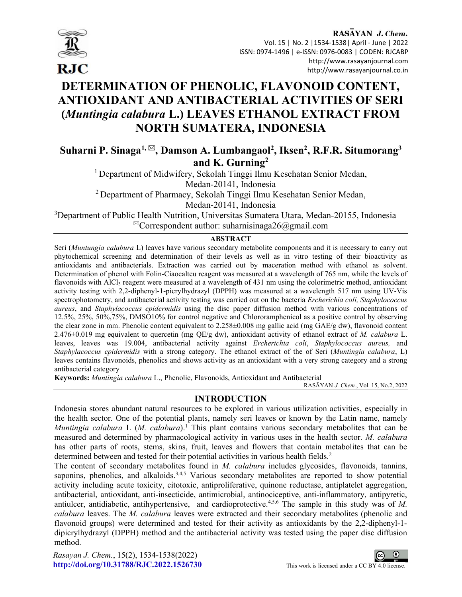

# DETERMINATION OF PHENOLIC, FLAVONOID CONTENT, ANTIOXIDANT AND ANTIBACTERIAL ACTIVITIES OF SERI (Muntingia calabura L.) LEAVES ETHANOL EXTRACT FROM NORTH SUMATERA, INDONESIA

Suharni P. Sinaga $^{1,\boxtimes}$ , Damson A. Lumbangaol $^2$ , Iksen $^2$ , R.F.R. Situmorang $^3$ and K. Gurning<sup>2</sup>

<sup>1</sup> Department of Midwifery, Sekolah Tinggi Ilmu Kesehatan Senior Medan, Medan-20141, Indonesia

<sup>2</sup> Department of Pharmacy, Sekolah Tinggi Ilmu Kesehatan Senior Medan,

Medan-20141, Indonesia

<sup>3</sup>Department of Public Health Nutrition, Universitas Sumatera Utara, Medan-20155, Indonesia  ${}^{\boxtimes}$ Correspondent author: suharnisinaga26@gmail.com

# ABSTRACT

Seri (Muntungia calabura L) leaves have various secondary metabolite components and it is necessary to carry out phytochemical screening and determination of their levels as well as in vitro testing of their bioactivity as antioxidants and antibacterials. Extraction was carried out by maceration method with ethanol as solvent. Determination of phenol with Folin-Ciaocalteu reagent was measured at a wavelength of 765 nm, while the levels of flavonoids with  $AICl<sub>3</sub>$  reagent were measured at a wavelength of 431 nm using the colorimetric method, antioxidant activity testing with 2,2-diphenyl-1-picrylhydrazyl (DPPH) was measured at a wavelength 517 nm using UV-Vis spectrophotometry, and antibacterial activity testing was carried out on the bacteria Ercherichia coli, Staphylococcus aureus, and Staphylacoccus epidermidis using the disc paper diffusion method with various concentrations of 12.5%, 25%, 50%,75%, DMSO10% for control negative and Chlororamphenicol as a positive control by observing the clear zone in mm. Phenolic content equivalent to 2.258±0.008 mg gallic acid (mg GAE/g dw), flavonoid content 2.476 $\pm$ 0.019 mg equivalent to quercetin (mg QE/g dw), antioxidant activity of ethanol extract of M. calabura L. leaves, leaves was 19.004, antibacterial activity against Ercherichia coli, Staphylococcus aureus, and Staphylacoccus epidermidis with a strong category. The ethanol extract of the of Seri (Muntingia calabura, L) leaves contains flavonoids, phenolics and shows activity as an antioxidant with a very strong category and a strong antibacterial category

Keywords: Muntingia calabura L., Phenolic, Flavonoids, Antioxidant and Antibacterial

RASĀYAN J. Chem., Vol. 15, No.2, 2022

# INTRODUCTION

Indonesia stores abundant natural resources to be explored in various utilization activities, especially in the health sector. One of the potential plants, namely seri leaves or known by the Latin name, namely Muntingia calabura L  $(M.~calb$ ulabura).<sup>1</sup> This plant contains various secondary metabolites that can be measured and determined by pharmacological activity in various uses in the health sector. M. calabura has other parts of roots, stems, skins, fruit, leaves and flowers that contain metabolites that can be determined between and tested for their potential activities in various health fields.<sup>2</sup>

The content of secondary metabolites found in *M. calabura* includes glycosides, flavonoids, tannins, saponins, phenolics, and alkaloids.<sup>3,4,5</sup> Various secondary metabolites are reported to show potential activity including acute toxicity, citotoxic, antiproliferative, quinone reductase, antiplatelet aggregation, antibacterial, antioxidant, anti-insecticide, antimicrobial, antinociceptive, anti-inflammatory, antipyretic, antiulcer, antidiabetic, antihypertensive, and cardioprotective.<sup>4,5,6</sup> The sample in this study was of M. calabura leaves. The *M. calabura* leaves were extracted and their secondary metabolites (phenolic and flavonoid groups) were determined and tested for their activity as antioxidants by the 2,2-diphenyl-1 dipicrylhydrazyl (DPPH) method and the antibacterial activity was tested using the paper disc diffusion method.

Rasayan J. Chem., 15(2), 1534-1538(2022) http://doi.org/10.31788/RJC.2022.1526730 This work is licensed under a CC BY 4.0 license.

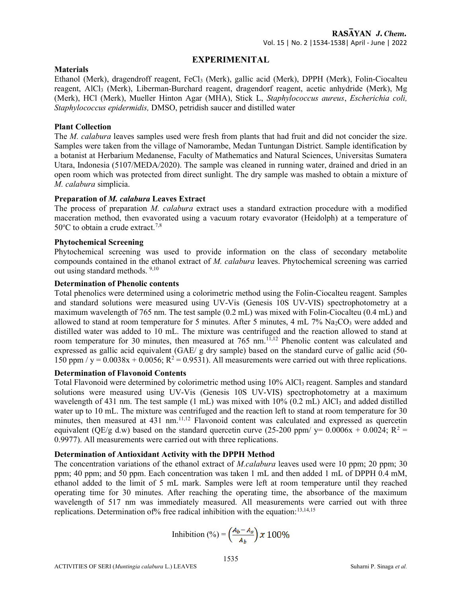# EXPERIMENITAL

#### **Materials**

Ethanol (Merk), dragendroff reagent, FeCl3 (Merk), gallic acid (Merk), DPPH (Merk), Folin-Ciocalteu reagent, AlCl3 (Merk), Liberman-Burchard reagent, dragendorf reagent, acetic anhydride (Merk), Mg (Merk), HCl (Merk), Mueller Hinton Agar (MHA), Stick L, Staphylococcus aureus, Escherichia coli, Staphylococcus epidermidis, DMSO, petridish saucer and distilled water

# Plant Collection

The *M. calabura* leaves samples used were fresh from plants that had fruit and did not concider the size. Samples were taken from the village of Namorambe, Medan Tuntungan District. Sample identification by a botanist at Herbarium Medanense, Faculty of Mathematics and Natural Sciences, Universitas Sumatera Utara, Indonesia (5107/MEDA/2020). The sample was cleaned in running water, drained and dried in an open room which was protected from direct sunlight. The dry sample was mashed to obtain a mixture of M. calabura simplicia.

#### Preparation of M. calabura Leaves Extract

The process of preparation M. calabura extract uses a standard extraction procedure with a modified maceration method, then evavorated using a vacuum rotary evavorator (Heidolph) at a temperature of  $50^{\circ}$ C to obtain a crude extract.<sup>7,8</sup>

#### Phytochemical Screening

Phytochemical screening was used to provide information on the class of secondary metabolite compounds contained in the ethanol extract of M. calabura leaves. Phytochemical screening was carried out using standard methods. 9,10

# Determination of Phenolic contents

Total phenolics were determined using a colorimetric method using the Folin-Ciocalteu reagent. Samples and standard solutions were measured using UV-Vis (Genesis 10S UV-VIS) spectrophotometry at a maximum wavelength of 765 nm. The test sample (0.2 mL) was mixed with Folin-Ciocalteu (0.4 mL) and allowed to stand at room temperature for 5 minutes. After 5 minutes,  $4 \text{ mL } 7\% \text{ Na}_2\text{CO}_3$  were added and distilled water was added to 10 mL. The mixture was centrifuged and the reaction allowed to stand at room temperature for 30 minutes, then measured at 765 nm.<sup>11,12</sup> Phenolic content was calculated and expressed as gallic acid equivalent (GAE/ g dry sample) based on the standard curve of gallic acid (50- 150 ppm /  $y = 0.0038x + 0.0056$ ;  $R^2 = 0.9531$ ). All measurements were carried out with three replications.

# Determination of Flavonoid Contents

Total Flavonoid were determined by colorimetric method using 10% AlCl<sub>3</sub> reagent. Samples and standard solutions were measured using UV-Vis (Genesis 10S UV-VIS) spectrophotometry at a maximum wavelength of 431 nm. The test sample  $(1 \text{ mL})$  was mixed with  $10\%$  (0.2 mL) AlCl<sub>3</sub> and added distilled water up to 10 mL. The mixture was centrifuged and the reaction left to stand at room temperature for 30 minutes, then measured at 431 nm.<sup>11,12</sup> Flavonoid content was calculated and expressed as quercetin equivalent (QE/g d.w) based on the standard quercetin curve (25-200 ppm/  $y= 0.0006x + 0.0024$ ; R<sup>2</sup> = 0.9977). All measurements were carried out with three replications.

#### Determination of Antioxidant Activity with the DPPH Method

The concentration variations of the ethanol extract of *M.calabura* leaves used were 10 ppm; 20 ppm; 30 ppm; 40 ppm; and 50 ppm. Each concentration was taken 1 mL and then added 1 mL of DPPH 0.4 mM, ethanol added to the limit of 5 mL mark. Samples were left at room temperature until they reached operating time for 30 minutes. After reaching the operating time, the absorbance of the maximum wavelength of 517 nm was immediately measured. All measurements were carried out with three replications. Determination of % free radical inhibition with the equation:  $13,14,15$ 

Inhibition (%) = 
$$
\left(\frac{A_b - A_s}{A_b}\right) x 100\%
$$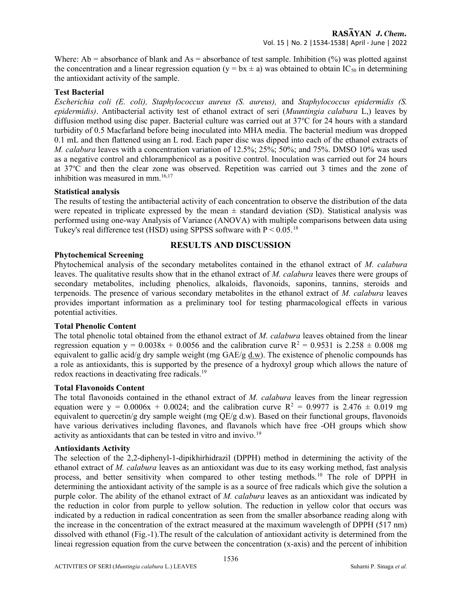Where: Ab = absorbance of blank and As = absorbance of test sample. Inhibition  $\frac{1}{2}$  was plotted against the concentration and a linear regression equation (y = bx  $\pm$  a) was obtained to obtain IC<sub>50</sub> in determining the antioxidant activity of the sample.

# Test Bacterial

Escherichia coli (E. coli), Staphylococcus aureus (S. aureus), and Staphylococcus epidermidis (S. epidermidis). Antibacterial activity test of ethanol extract of seri (Muuntingia calabura L,) leaves by diffusion method using disc paper. Bacterial culture was carried out at  $37^{\circ}$ C for 24 hours with a standard turbidity of 0.5 Macfarland before being inoculated into MHA media. The bacterial medium was dropped 0.1 mL and then flattened using an L rod. Each paper disc was dipped into each of the ethanol extracts of M. calabura leaves with a concentration variation of 12.5%; 25%; 50%; and 75%. DMSO 10% was used as a negative control and chloramphenicol as a positive control. Inoculation was carried out for 24 hours at 37<sup>o</sup>C and then the clear zone was observed. Repetition was carried out 3 times and the zone of inhibition was measured in mm.<sup>16,17</sup>

#### Statistical analysis

The results of testing the antibacterial activity of each concentration to observe the distribution of the data were repeated in triplicate expressed by the mean  $\pm$  standard deviation (SD). Statistical analysis was performed using one-way Analysis of Variance (ANOVA) with multiple comparisons between data using Tukey's real difference test (HSD) using SPPSS software with  $P < 0.05$ .<sup>18</sup>

# RESULTS AND DISCUSSION

#### Phytochemical Screening

Phytochemical analysis of the secondary metabolites contained in the ethanol extract of M. calabura leaves. The qualitative results show that in the ethanol extract of M. calabura leaves there were groups of secondary metabolites, including phenolics, alkaloids, flavonoids, saponins, tannins, steroids and terpenoids. The presence of various secondary metabolites in the ethanol extract of M. calabura leaves provides important information as a preliminary tool for testing pharmacological effects in various potential activities.

#### Total Phenolic Content

The total phenolic total obtained from the ethanol extract of M. calabura leaves obtained from the linear regression equation  $y = 0.0038x + 0.0056$  and the calibration curve  $R^2 = 0.9531$  is  $2.258 \pm 0.008$  mg equivalent to gallic acid/g dry sample weight (mg GAE/g d.w). The existence of phenolic compounds has a role as antioxidants, this is supported by the presence of a hydroxyl group which allows the nature of redox reactions in deactivating free radicals.<sup>19</sup>

#### Total Flavonoids Content

The total flavonoids contained in the ethanol extract of M. calabura leaves from the linear regression equation were  $y = 0.0006x + 0.0024$ ; and the calibration curve  $R^2 = 0.9977$  is 2.476  $\pm$  0.019 mg equivalent to quercetin/g dry sample weight (mg  $OE/g$  d.w). Based on their functional groups, flavonoids have various derivatives including flavones, and flavanols which have free -OH groups which show activity as antioxidants that can be tested in vitro and invivo.<sup>19</sup>

#### Antioxidants Activity

The selection of the 2,2-diphenyl-1-dipikhirhidrazil (DPPH) method in determining the activity of the ethanol extract of M. calabura leaves as an antioxidant was due to its easy working method, fast analysis process, and better sensitivity when compared to other testing methods.<sup>10</sup> The role of DPPH in determining the antioxidant activity of the sample is as a source of free radicals which give the solution a purple color. The ability of the ethanol extract of M. calabura leaves as an antioxidant was indicated by the reduction in color from purple to yellow solution. The reduction in yellow color that occurs was indicated by a reduction in radical concentration as seen from the smaller absorbance reading along with the increase in the concentration of the extract measured at the maximum wavelength of DPPH (517 nm) dissolved with ethanol (Fig.-1).The result of the calculation of antioxidant activity is determined from the lineai regression equation from the curve between the concentration (x-axis) and the percent of inhibition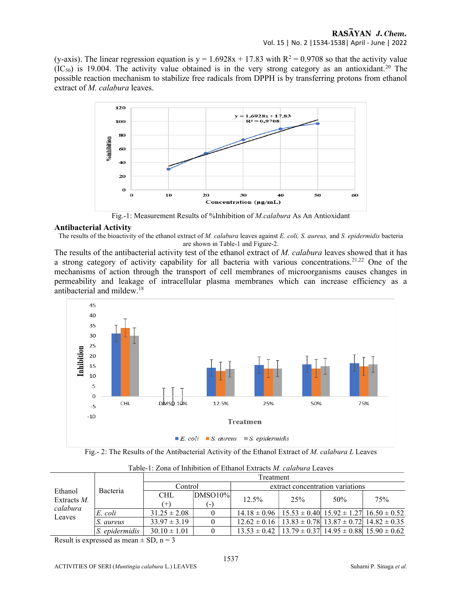(y-axis). The linear regression equation is  $y = 1.6928x + 17.83$  with  $R^2 = 0.9708$  so that the activity value  $(IC_{50})$  is 19.004. The activity value obtained is in the very strong category as an antioxidant.<sup>20</sup> The possible reaction mechanism to stabilize free radicals from DPPH is by transferring protons from ethanol extract of *M. calabura* leaves.



Fig.-1: Measurement Results of %Inhibition of M.calabura As An Antioxidant

#### Antibacterial Activity

The results of the bioactivity of the ethanol extract of M. calabura leaves against E. coli, S. aureus, and S. epidermidis bacteria are shown in Table-1 and Figure-2.

The results of the antibacterial activity test of the ethanol extract of M. calabura leaves showed that it has a strong category of activity capability for all bacteria with various concentrations.<sup>21,22</sup> One of the mechanisms of action through the transport of cell membranes of microorganisms causes changes in permeability and leakage of intracellular plasma membranes which can increase efficiency as a antibacterial and mildew.<sup>18</sup>



Fig.- 2: The Results of the Antibacterial Activity of the Ethanol Extract of M. calabura L Leaves

| Ethanol<br>Extracts $M$ .<br>calabura<br>Leaves | Bacteria       | Treatment        |                          |                                                                           |     |     |     |
|-------------------------------------------------|----------------|------------------|--------------------------|---------------------------------------------------------------------------|-----|-----|-----|
|                                                 |                | Control          |                          | extract concentration variations                                          |     |     |     |
|                                                 |                | <b>CHL</b>       | $ DMSO10\% $             | 12.5%                                                                     | 25% | 50% | 75% |
|                                                 |                | $(+)$            | $\overline{\phantom{0}}$ |                                                                           |     |     |     |
|                                                 | E. coli        | $31.25 \pm 2.08$ |                          | $14.18 \pm 0.96$   $15.53 \pm 0.40$   $15.92 \pm 1.27$   $16.50 \pm 0.52$ |     |     |     |
|                                                 | S. aureus      | $33.97 \pm 3.19$ |                          | $12.62 \pm 0.16$   $13.83 \pm 0.78$   $13.87 \pm 0.72$   $14.82 \pm 0.35$ |     |     |     |
|                                                 | S. epidermidis | $30.10 \pm 1.01$ |                          | $13.53 \pm 0.42$   $13.79 \pm 0.37$   $14.95 \pm 0.88$   $15.90 \pm 0.62$ |     |     |     |

Table-1: Zona of Inhibition of Ethanol Extracts M. calabura Leaves

Result is expressed as mean  $\pm$  SD, n = 3